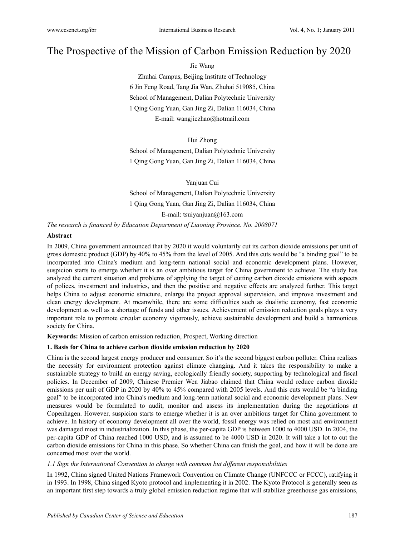# The Prospective of the Mission of Carbon Emission Reduction by 2020

Jie Wang

Zhuhai Campus, Beijing Institute of Technology 6 Jin Feng Road, Tang Jia Wan, Zhuhai 519085, China School of Management, Dalian Polytechnic University 1 Qing Gong Yuan, Gan Jing Zi, Dalian 116034, China E-mail: wangjiezhao@hotmail.com

Hui Zhong

School of Management, Dalian Polytechnic University 1 Qing Gong Yuan, Gan Jing Zi, Dalian 116034, China

Yanjuan Cui School of Management, Dalian Polytechnic University 1 Qing Gong Yuan, Gan Jing Zi, Dalian 116034, China E-mail: tsuiyanjuan@163.com

*The research is financed by Education Department of Liaoning Province. No. 2008071*

# **Abstract**

In 2009, China government announced that by 2020 it would voluntarily cut its carbon dioxide emissions per unit of gross domestic product (GDP) by 40% to 45% from the level of 2005. And this cuts would be "a binding goal" to be incorporated into China's medium and long-term national social and economic development plans. However, suspicion starts to emerge whether it is an over ambitious target for China government to achieve. The study has analyzed the current situation and problems of applying the target of cutting carbon dioxide emissions with aspects of polices, investment and industries, and then the positive and negative effects are analyzed further. This target helps China to adjust economic structure, enlarge the project approval supervision, and improve investment and clean energy development. At meanwhile, there are some difficulties such as dualistic economy, fast economic development as well as a shortage of funds and other issues. Achievement of emission reduction goals plays a very important role to promote circular economy vigorously, achieve sustainable development and build a harmonious society for China.

**Keywords:** Mission of carbon emission reduction, Prospect, Working direction

# **1. Basis for China to achieve carbon dioxide emission reduction by 2020**

China is the second largest energy producer and consumer. So it's the second biggest carbon polluter. China realizes the necessity for environment protection against climate changing. And it takes the responsibility to make a sustainable strategy to build an energy saving, ecologically friendly society, supporting by technological and fiscal policies. In December of 2009, Chinese Premier Wen Jiabao claimed that China would reduce carbon dioxide emissions per unit of GDP in 2020 by 40% to 45% compared with 2005 levels. And this cuts would be "a binding goal" to be incorporated into China's medium and long-term national social and economic development plans. New measures would be formulated to audit, monitor and assess its implementation during the negotiations at Copenhagen. However, suspicion starts to emerge whether it is an over ambitious target for China government to achieve. In history of economy development all over the world, fossil energy was relied on most and environment was damaged most in industrialization. In this phase, the per-capita GDP is between 1000 to 4000 USD. In 2004, the per-capita GDP of China reached 1000 USD, and is assumed to be 4000 USD in 2020. It will take a lot to cut the carbon dioxide emissions for China in this phase. So whether China can finish the goal, and how it will be done are concerned most over the world.

#### *1.1 Sign the International Convention to charge with common but different responsibilities*

In 1992, China signed United Nations Framework Convention on Climate Change (UNFCCC or FCCC), ratifying it in 1993. In 1998, China singed Kyoto protocol and implementing it in 2002. The Kyoto Protocol is generally seen as an important first step towards a truly global emission reduction regime that will stabilize greenhouse gas emissions,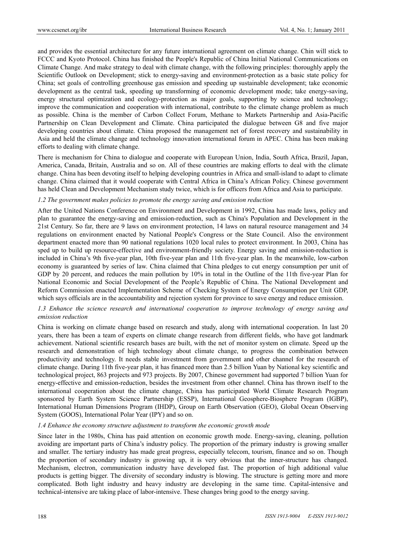and provides the essential architecture for any future international agreement on climate change. Chin will stick to FCCC and Kyoto Protocol. China has finished the People's Republic of China Initial National Communications on Climate Change. And make strategy to deal with climate change, with the following principles: thoroughly apply the Scientific Outlook on Development; stick to energy-saving and environment-protection as a basic state policy for China; set goals of controlling greenhouse gas emission and speeding up sustainable development; take economic development as the central task, speeding up transforming of economic development mode; take energy-saving, energy structural optimization and ecology-protection as major goals, supporting by science and technology; improve the communication and cooperation with international, contribute to the climate change problem as much as possible. China is the member of Carbon Collect Forum, Methane to Markets Partnership and Asia-Pacific Partnership on Clean Development and Climate. China participated the dialogue between G8 and five major developing countries about climate. China proposed the management net of forest recovery and sustainability in Asia and held the climate change and technology innovation international forum in APEC. China has been making efforts to dealing with climate change.

There is mechanism for China to dialogue and cooperate with European Union, India, South Africa, Brazil, Japan, America, Canada, Britain, Australia and so on. All of these countries are making efforts to deal with the climate change. China has been devoting itself to helping developing countries in Africa and small-island to adapt to climate change. China claimed that it would cooperate with Central Africa in China's African Policy. Chinese government has held Clean and Development Mechanism study twice, which is for officers from Africa and Asia to participate.

#### *1.2 The government makes policies to promote the energy saving and emission reduction*

After the United Nations Conference on Environment and Development in 1992, China has made laws, policy and plan to guarantee the energy-saving and emission-reduction, such as China's Population and Development in the 21st Century. So far, there are 9 laws on environment protection, 14 laws on natural resource management and 34 regulations on environment enacted by National People's Congress or the State Council. Also the environment department enacted more than 90 national regulations 1020 local rules to protect environment. In 2003, China has sped up to build up resource-effective and environment-friendly society. Energy saving and emission-reduction is included in China's 9th five-year plan, 10th five-year plan and 11th five-year plan. In the meanwhile, low-carbon economy is guaranteed by series of law. China claimed that China pledges to cut energy consumption per unit of GDP by 20 percent, and reduces the main pollution by 10% in total in the Outline of the 11th five-year Plan for National Economic and Social Development of the People's Republic of China. The National Development and Reform Commission enacted Implementation Scheme of Checking System of Energy Consumption per Unit GDP, which says officials are in the accountability and rejection system for province to save energy and reduce emission.

# *1.3 Enhance the science research and international cooperation to improve technology of energy saving and emission reduction*

China is working on climate change based on research and study, along with international cooperation. In last 20 years, there has been a team of experts on climate change research from different fields, who have got landmark achievement. National scientific research bases are built, with the net of monitor system on climate. Speed up the research and demonstration of high technology about climate change, to progress the combination between productivity and technology. It needs stable investment from government and other channel for the research of climate change. During 11th five-year plan, it has financed more than 2.5 billion Yuan by National key scientific and technological project, 863 projects and 973 projects. By 2007, Chinese government had supported 7 billion Yuan for energy-effective and emission-reduction, besides the investment from other channel. China has thrown itself to the international cooperation about the climate change, China has participated World Climate Research Program sponsored by Earth System Science Partnership (ESSP), International Geosphere-Biosphere Program (IGBP), International Human Dimensions Program (IHDP), Group on Earth Observation (GEO), Global Ocean Observing System (GOOS), International Polar Year (IPY) and so on.

#### *1.4 Enhance the economy structure adjustment to transform the economic growth mode*

Since later in the 1980s, China has paid attention on economic growth mode. Energy-saving, cleaning, pollution avoiding are important parts of China's industry policy. The proportion of the primary industry is growing smaller and smaller. The tertiary industry has made great progress, especially telecom, tourism, finance and so on. Though the proportion of secondary industry is growing up, it is very obvious that the inner-structure has changed. Mechanism, electron, communication industry have developed fast. The proportion of high additional value products is getting bigger. The diversity of secondary industry is blowing. The structure is getting more and more complicated. Both light industry and heavy industry are developing in the same time. Capital-intensive and technical-intensive are taking place of labor-intensive. These changes bring good to the energy saving.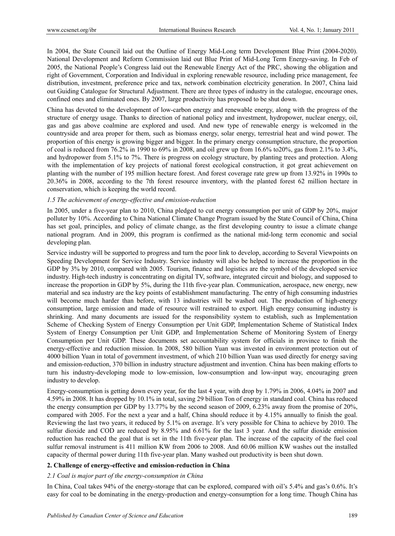In 2004, the State Council laid out the Outline of Energy Mid-Long term Development Blue Print (2004-2020). National Development and Reform Commission laid out Blue Print of Mid-Long Term Energy-saving. In Feb of 2005, the National People's Congress laid out the Renewable Energy Act of the PRC, showing the obligation and right of Government, Corporation and Individual in exploring renewable resource, including price management, fee distribution, investment, preference price and tax, network combination electricity generation. In 2007, China laid out Guiding Catalogue for Structural Adjustment. There are three types of industry in the catalogue, encourage ones, confined ones and eliminated ones. By 2007, large productivity has proposed to be shut down.

China has devoted to the development of low-carbon energy and renewable energy, along with the progress of the structure of energy usage. Thanks to direction of national policy and investment, hydropower, nuclear energy, oil, gas and gas above coalmine are explored and used. And new type of renewable energy is welcomed in the countryside and area proper for them, such as biomass energy, solar energy, terrestrial heat and wind power. The proportion of this energy is growing bigger and bigger. In the primary energy consumption structure, the proportion of coal is reduced from 76.2% in 1990 to 69% in 2008, and oil grew up from 16.6% to20%, gas from 2.1% to 3.4%, and hydropower from 5.1% to 7%. There is progress on ecology structure, by planting trees and protection. Along with the implementation of key projects of national forest ecological construction, it got great achievement on planting with the number of 195 million hectare forest. And forest coverage rate grew up from 13.92% in 1990s to 20.36% in 2008, according to the 7th forest resource inventory, with the planted forest 62 million hectare in conservation, which is keeping the world record.

# *1.5 The achievement of energy-effective and emission-reduction*

In 2005, under a five-year plan to 2010, China pledged to cut energy consumption per unit of GDP by 20%, major polluter by 10%. According to China National Climate Change Program issued by the State Council of China, China has set goal, principles, and policy of climate change, as the first developing country to issue a climate change national program. And in 2009, this program is confirmed as the national mid-long term economic and social developing plan.

Service industry will be supported to progress and turn the poor link to develop, according to Several Viewpoints on Speeding Development for Service Industry. Service industry will also be helped to increase the proportion in the GDP by 3% by 2010, compared with 2005. Tourism, finance and logistics are the symbol of the developed service industry. High-tech industry is concentrating on digital TV, software, integrated circuit and biology, and supposed to increase the proportion in GDP by 5%, during the 11th five-year plan. Communication, aerospace, new energy, new material and sea industry are the key points of establishment manufacturing. The entry of high consuming industries will become much harder than before, with 13 industries will be washed out. The production of high-energy consumption, large emission and made of resource will restrained to export. High energy consuming industry is shrinking. And many documents are issued for the responsibility system to establish, such as Implementation Scheme of Checking System of Energy Consumption per Unit GDP, Implementation Scheme of Statistical Index System of Energy Consumption per Unit GDP, and Implementation Scheme of Monitoring System of Energy Consumption per Unit GDP. These documents set accountability system for officials in province to finish the energy-effective and reduction mission. In 2008, 580 billion Yuan was invested in environment protection out of 4000 billion Yuan in total of government investment, of which 210 billion Yuan was used directly for energy saving and emission-reduction, 370 billion in industry structure adjustment and invention. China has been making efforts to turn his industry-developing mode to low-emission, low-consumption and low-input way, encouraging green industry to develop.

Energy-consumption is getting down every year, for the last 4 year, with drop by 1.79% in 2006, 4.04% in 2007 and 4.59% in 2008. It has dropped by 10.1% in total, saving 29 billion Ton of energy in standard coal. China has reduced the energy consumption per GDP by 13.77% by the second season of 2009, 6.23% away from the promise of 20%, compared with 2005. For the next a year and a half, China should reduce it by 4.15% annually to finish the goal. Reviewing the last two years, it reduced by 5.1% on average. It's very possible for China to achieve by 2010. The sulfur dioxide and COD are reduced by 8.95% and 6.61% for the last 3 year. And the sulfur dioxide emission reduction has reached the goal that is set in the 11th five-year plan. The increase of the capacity of the fuel coal sulfur removal instrument is 411 million KW from 2006 to 2008. And 60.06 million KW washes out the installed capacity of thermal power during 11th five-year plan. Many washed out productivity is been shut down.

# **2. Challenge of energy-effective and emission-reduction in China**

# *2.1 Coal is major part of the energy-consumption in China*

In China, Coal takes 94% of the energy-storage that can be explored, compared with oil's 5.4% and gas's 0.6%. It's easy for coal to be dominating in the energy-production and energy-consumption for a long time. Though China has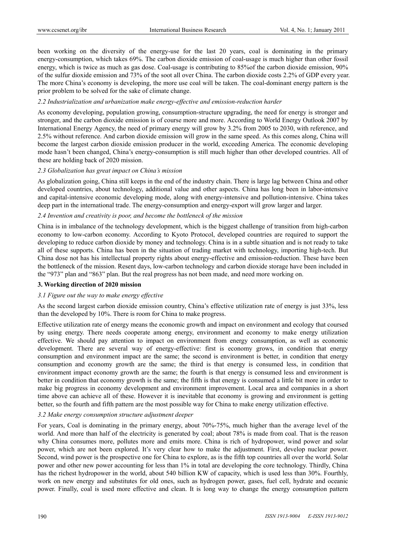been working on the diversity of the energy-use for the last 20 years, coal is dominating in the primary energy-consumption, which takes 69%. The carbon dioxide emission of coal-usage is much higher than other fossil energy, which is twice as much as gas dose. Coal-usage is contributing to 85%of the carbon dioxide emission, 90% of the sulfur dioxide emission and 73% of the soot all over China. The carbon dioxide costs 2.2% of GDP every year. The more China's economy is developing, the more use coal will be taken. The coal-dominant energy pattern is the prior problem to be solved for the sake of climate change.

# *2.2 Industrialization and urbanization make energy-effective and emission-reduction harder*

As economy developing, population growing, consumption-structure upgrading, the need for energy is stronger and stronger, and the carbon dioxide emission is of course more and more. According to World Energy Outlook 2007 by International Energy Agency, the need of primary energy will grow by 3.2% from 2005 to 2030, with reference, and 2.5% without reference. And carbon dioxide emission will grow in the same speed. As this comes along, China will become the largest carbon dioxide emission producer in the world, exceeding America. The economic developing mode hasn't been changed, China's energy-consumption is still much higher than other developed countries. All of these are holding back of 2020 mission.

# *2.3 Globalization has great impact on China's mission*

As globalization going, China still keeps in the end of the industry chain. There is large lag between China and other developed countries, about technology, additional value and other aspects. China has long been in labor-intensive and capital-intensive economic developing mode, along with energy-intensive and pollution-intensive. China takes deep part in the international trade. The energy-consumption and energy-export will grow larger and larger.

#### *2.4 Invention and creativity is poor, and become the bottleneck of the mission*

China is in imbalance of the technology development, which is the biggest challenge of transition from high-carbon economy to low-carbon economy. According to Kyoto Protocol, developed countries are required to support the developing to reduce carbon dioxide by money and technology. China is in a subtle situation and is not ready to take all of these supports. China has been in the situation of trading market with technology, importing high-tech. But China dose not has his intellectual property rights about energy-effective and emission-reduction. These have been the bottleneck of the mission. Resent days, low-carbon technology and carbon dioxide storage have been included in the "973" plan and "863" plan. But the real progress has not been made, and need more working on.

# **3. Working direction of 2020 mission**

# *3.1 Figure out the way to make energy effective*

As the second largest carbon dioxide emission country, China's effective utilization rate of energy is just 33%, less than the developed by 10%. There is room for China to make progress.

Effective utilization rate of energy means the economic growth and impact on environment and ecology that coursed by using energy. There needs cooperate among energy, environment and economy to make energy utilization effective. We should pay attention to impact on environment from energy consumption, as well as economic development. There are several way of energy-effective: first is economy grows, in condition that energy consumption and environment impact are the same; the second is environment is better, in condition that energy consumption and economy growth are the same; the third is that energy is consumed less, in condition that environment impact economy growth are the same; the fourth is that energy is consumed less and environment is better in condition that economy growth is the same; the fifth is that energy is consumed a little bit more in order to make big progress in economy development and environment improvement. Local area and companies in a short time above can achieve all of these. However it is inevitable that economy is growing and environment is getting better, so the fourth and fifth pattern are the most possible way for China to make energy utilization effective.

# *3.2 Make energy consumption structure adjustment deeper*

For years, Coal is dominating in the primary energy, about 70%-75%, much higher than the average level of the world. And more than half of the electricity is generated by coal; about 78% is made from coal. That is the reason why China consumes more, pollutes more and emits more. China is rich of hydropower, wind power and solar power, which are not been explored. It's very clear how to make the adjustment. First, develop nuclear power. Second, wind power is the prospective one for China to explore, as is the fifth top countries all over the world. Solar power and other new power accounting for less than 1% in total are developing the core technology. Thirdly, China has the richest hydropower in the world, about 540 billion KW of capacity, which is used less than 30%. Fourthly, work on new energy and substitutes for old ones, such as hydrogen power, gases, fuel cell, hydrate and oceanic power. Finally, coal is used more effective and clean. It is long way to change the energy consumption pattern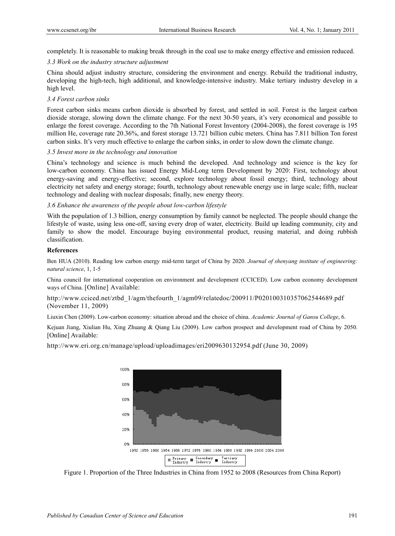completely. It is reasonable to making break through in the coal use to make energy effective and emission reduced.

# *3.3 Work on the industry structure adjustment*

China should adjust industry structure, considering the environment and energy. Rebuild the traditional industry, developing the high-tech, high additional, and knowledge-intensive industry. Make tertiary industry develop in a high level.

# *3.4 Forest carbon sinks*

Forest carbon sinks means carbon dioxide is absorbed by forest, and settled in soil. Forest is the largest carbon dioxide storage, slowing down the climate change. For the next 30-50 years, it's very economical and possible to enlarge the forest coverage. According to the 7th National Forest Inventory (2004-2008), the forest coverage is 195 million He, coverage rate 20.36%, and forest storage 13.721 billion cubic meters. China has 7.811 billion Ton forest carbon sinks. It's very much effective to enlarge the carbon sinks, in order to slow down the climate change.

# *3.5 Invest more in the technology and innovation*

China's technology and science is much behind the developed. And technology and science is the key for low-carbon economy. China has issued Energy Mid-Long term Development by 2020: First, technology about energy-saving and energy-effective; second, explore technology about fossil energy; third, technology about electricity net safety and energy storage; fourth, technology about renewable energy use in large scale; fifth, nuclear technology and dealing with nuclear disposals; finally, new energy theory.

# *3.6 Enhance the awareness of the people about low-carbon lifestyle*

With the population of 1.3 billion, energy consumption by family cannot be neglected. The people should change the lifestyle of waste, using less one-off, saving every drop of water, electricity. Build up leading community, city and family to show the model. Encourage buying environmental product, reusing material, and doing rubbish classification.

# **References**

Ben HUA (2010). Reading low carbon energy mid-term target of China by 2020. *Journal of shenyang institute of engineering: natural science*, 1, 1-5

China council for international cooperation on environment and development (CCICED). Low carbon economy development ways of China. [Online] Available:

# http://www.cciced.net/ztbd\_1/agm/thefourth\_1/agm09/relatedoc/200911/P020100310357062544689.pdf (November 11, 2009)

Liuxin Chen (2009). Low-carbon economy: situation abroad and the choice of china. *Academic Journal of Gansu College*, 6.

Kejuan Jiang, Xiulian Hu, Xing Zhuang & Qiang Liu (2009). Low carbon prospect and development road of China by 2050. [Online] Available:

http://www.eri.org.cn/manage/upload/uploadimages/eri2009630132954.pdf (June 30, 2009)



Figure 1. Proportion of the Three Industries in China from 1952 to 2008 (Resources from China Report)